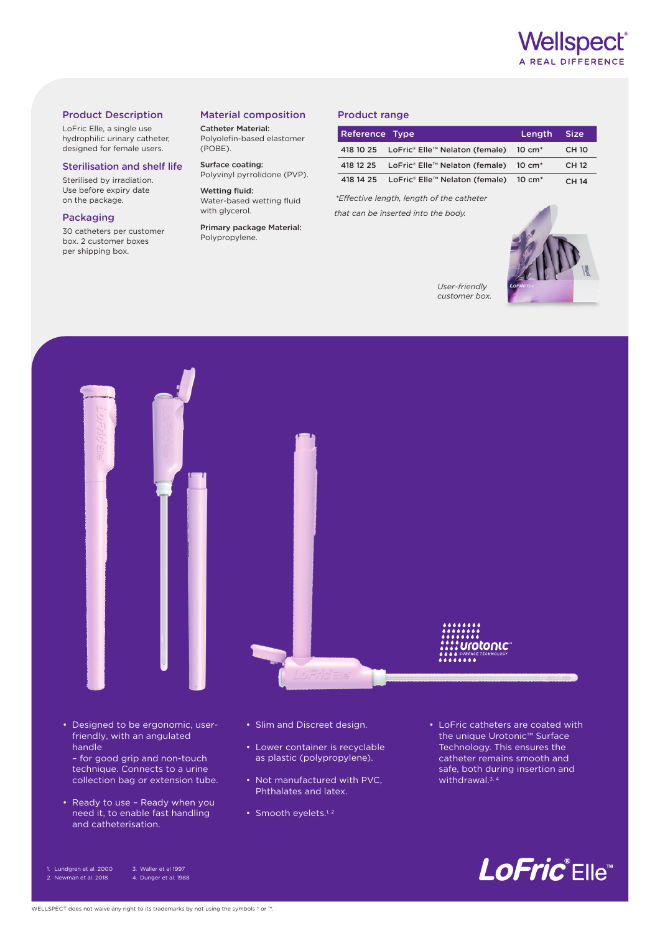

### Product Description

LoFric Elle, a single use hydrophilic urinary catheter, designed for female users.

#### Sterilisation and shelf life

Sterilised by irradiation. Use before expiry date on the package.

#### Packaging

30 catheters per customer box. 2 customer boxes per shipping box.

# Material composition

Catheter Material: Polyolefin-based elastomer (POBE).

Surface coating: Polyvinyl pyrrolidone (PVP).

Wetting fluid: Water-based wetting fluid with glycerol.

Primary package Material: Polypropylene.

## Product range

| Reference Type |                                                             | Length Size |              |
|----------------|-------------------------------------------------------------|-------------|--------------|
|                | 418 10 25 LoFric® Elle™ Nelaton (female) 10 cm <sup>*</sup> |             | <b>CH 10</b> |
|                | 418 12 25 LoFric® Elle™ Nelaton (female) 10 cm <sup>*</sup> |             | CH 12        |
|                | 418 14 25 LoFric® Elle™ Nelaton (female) 10 cm <sup>*</sup> |             | <b>CH 14</b> |

*\*Effective length, length of the catheter that can be inserted into the body.*



*User-friendly customer box.*



• Designed to be ergonomic, userfriendly, with an angulated handle – for good grip and non-touch

technique. Connects to a urine collection bag or extension tube.

• Ready to use – Ready when you need it, to enable fast handling and catheterisation.

1. Lundgren et al. 2000

- Slim and Discreet design.
- Lower container is recyclable as plastic (polypropylene).
- Not manufactured with PVC, Phthalates and latex.
- Smooth eyelets.<sup>1, 2</sup>

• LoFric catheters are coated with the unique Urotonic™ Surface Technology. This ensures the catheter remains smooth and safe, both during insertion and withdrawal.3, 4



3. Waller et al 1997 4. Dunger et al. 1988